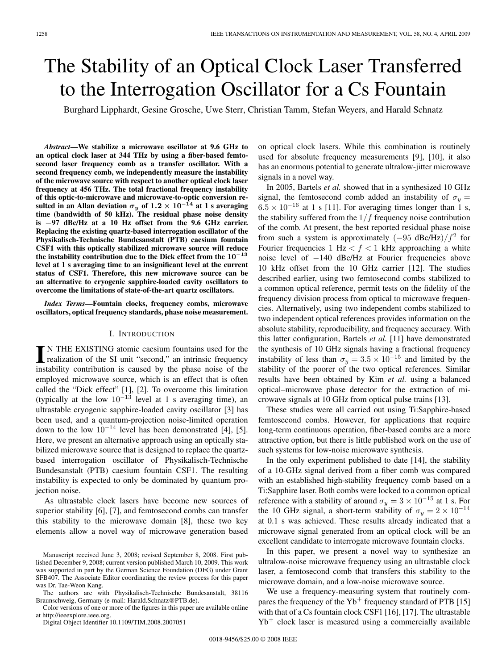# The Stability of an Optical Clock Laser Transferred to the Interrogation Oscillator for a Cs Fountain

Burghard Lipphardt, Gesine Grosche, Uwe Sterr, Christian Tamm, Stefan Weyers, and Harald Schnatz

*Abstract***—We stabilize a microwave oscillator at 9.6 GHz to an optical clock laser at 344 THz by using a fiber-based femtosecond laser frequency comb as a transfer oscillator. With a second frequency comb, we independently measure the instability of the microwave source with respect to another optical clock laser frequency at 456 THz. The total fractional frequency instability of this optic-to-microwave and microwave-to-optic conversion resulted in an Allan deviation**  $\sigma_y$  of  $1.2 \times 10^{-14}$  at 1 s averaging **time (bandwidth of 50 kHz). The residual phase noise density is** *−***97 dBc/Hz at a 10 Hz offset from the 9.6 GHz carrier. Replacing the existing quartz-based interrogation oscillator of the Physikalisch-Technische Bundesanstalt (PTB) caesium fountain CSF1 with this optically stabilized microwave source will reduce the instability contribution due to the Dick effect from the 10***−***<sup>13</sup> level at 1 s averaging time to an insignificant level at the current status of CSF1. Therefore, this new microwave source can be an alternative to cryogenic sapphire-loaded cavity oscillators to overcome the limitations of state-of-the-art quartz oscillators.**

*Index Terms***—Fountain clocks, frequency combs, microwave oscillators, optical frequency standards, phase noise measurement.**

### I. INTRODUCTION

IN THE EXISTING atomic caesium fountains used for the realization of the SI unit "second," an intrinsic frequency instability contribution is caused by the phase noise of the employed microwave source, which is an effect that is often called the "Dick effect" [1], [2]. To overcome this limitation (typically at the low  $10^{-13}$  level at 1 s averaging time), an ultrastable cryogenic sapphire-loaded cavity oscillator [3] has been used, and a quantum-projection noise-limited operation down to the low  $10^{-14}$  level has been demonstrated [4], [5]. Here, we present an alternative approach using an optically stabilized microwave source that is designed to replace the quartzbased interrogation oscillator of Physikalisch-Technische Bundesanstalt (PTB) caesium fountain CSF1. The resulting instability is expected to only be dominated by quantum projection noise.

As ultrastable clock lasers have become new sources of superior stability [6], [7], and femtosecond combs can transfer this stability to the microwave domain [8], these two key elements allow a novel way of microwave generation based

Color versions of one or more of the figures in this paper are available online at http://ieeexplore.ieee.org.

Digital Object Identifier 10.1109/TIM.2008.2007051

on optical clock lasers. While this combination is routinely used for absolute frequency measurements [9], [10], it also has an enormous potential to generate ultralow-jitter microwave signals in a novel way.

In 2005, Bartels *et al.* showed that in a synthesized 10 GHz signal, the femtosecond comb added an instability of  $\sigma_y$  =  $6.5 \times 10^{-16}$  at 1 s [11]. For averaging times longer than 1 s, the stability suffered from the  $1/f$  frequency noise contribution of the comb. At present, the best reported residual phase noise from such a system is approximately  $(-95 \text{ dBc/Hz})/f^2$  for Fourier frequencies 1 Hz  $\lt f \lt 1$  kHz approaching a white noise level of −140 dBc/Hz at Fourier frequencies above 10 kHz offset from the 10 GHz carrier [12]. The studies described earlier, using two femtosecond combs stabilized to a common optical reference, permit tests on the fidelity of the frequency division process from optical to microwave frequencies. Alternatively, using two independent combs stabilized to two independent optical references provides information on the absolute stability, reproducibility, and frequency accuracy. With this latter configuration, Bartels *et al.* [11] have demonstrated the synthesis of 10 GHz signals having a fractional frequency instability of less than  $\sigma_y = 3.5 \times 10^{-15}$  and limited by the stability of the poorer of the two optical references. Similar results have been obtained by Kim *et al.* using a balanced optical–microwave phase detector for the extraction of microwave signals at 10 GHz from optical pulse trains [13].

These studies were all carried out using Ti:Sapphire-based femtosecond combs. However, for applications that require long-term continuous operation, fiber-based combs are a more attractive option, but there is little published work on the use of such systems for low-noise microwave synthesis.

In the only experiment published to date [14], the stability of a 10-GHz signal derived from a fiber comb was compared with an established high-stability frequency comb based on a Ti:Sapphire laser. Both combs were locked to a common optical reference with a stability of around  $\sigma_y = 3 \times 10^{-15}$  at 1 s. For the 10 GHz signal, a short-term stability of  $\sigma_y = 2 \times 10^{-14}$ at 0.1 s was achieved. These results already indicated that a microwave signal generated from an optical clock will be an excellent candidate to interrogate microwave fountain clocks.

In this paper, we present a novel way to synthesize an ultralow-noise microwave frequency using an ultrastable clock laser, a femtosecond comb that transfers this stability to the microwave domain, and a low-noise microwave source.

We use a frequency-measuring system that routinely compares the frequency of the  $Yb^+$  frequency standard of PTB [15] with that of a Cs fountain clock CSF1 [16], [17]. The ultrastable  $Yb<sup>+</sup>$  clock laser is measured using a commercially available

Manuscript received June 3, 2008; revised September 8, 2008. First published December 9, 2008; current version published March 10, 2009. This work was supported in part by the German Science Foundation (DFG) under Grant SFB407. The Associate Editor coordinating the review process for this paper was Dr. Tae-Weon Kang.

The authors are with Physikalisch-Technische Bundesanstalt, 38116 Braunschweig, Germany (e-mail: Harald.Schnatz@PTB.de).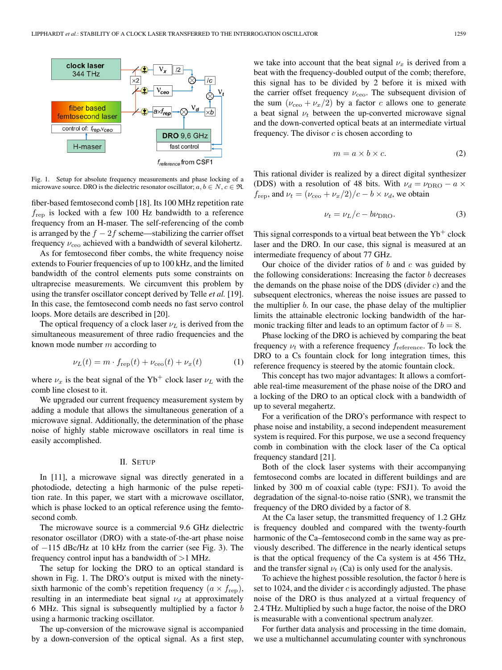

Fig. 1. Setup for absolute frequency measurements and phase locking of a microwave source. DRO is the dielectric resonator oscillator;  $a, b \in N$ ,  $c \in \Re$ .

fiber-based femtosecond comb [18]. Its 100 MHz repetition rate  $f_{\text{rep}}$  is locked with a few 100 Hz bandwidth to a reference frequency from an H-maser. The self-referencing of the comb is arranged by the  $f - 2f$  scheme—stabilizing the carrier offset frequency  $\nu_{\rm{ceo}}$  achieved with a bandwidth of several kilohertz.

As for femtosecond fiber combs, the white frequency noise extends to Fourier frequencies of up to 100 kHz, and the limited bandwidth of the control elements puts some constraints on ultraprecise measurements. We circumvent this problem by using the transfer oscillator concept derived by Telle *et al.* [19]. In this case, the femtosecond comb needs no fast servo control loops. More details are described in [20].

The optical frequency of a clock laser  $\nu_L$  is derived from the simultaneous measurement of three radio frequencies and the known mode number m according to

$$
\nu_L(t) = m \cdot f_{\rm rep}(t) + \nu_{\rm ceo}(t) + \nu_x(t) \tag{1}
$$

where  $\nu_x$  is the beat signal of the Yb<sup>+</sup> clock laser  $\nu_L$  with the comb line closest to it.

We upgraded our current frequency measurement system by adding a module that allows the simultaneous generation of a microwave signal. Additionally, the determination of the phase noise of highly stable microwave oscillators in real time is easily accomplished.

#### II. SETUP

In [11], a microwave signal was directly generated in a photodiode, detecting a high harmonic of the pulse repetition rate. In this paper, we start with a microwave oscillator, which is phase locked to an optical reference using the femtosecond comb.

The microwave source is a commercial 9.6 GHz dielectric resonator oscillator (DRO) with a state-of-the-art phase noise of −115 dBc/Hz at 10 kHz from the carrier (see Fig. 3). The frequency control input has a bandwidth of  $>1$  MHz.

The setup for locking the DRO to an optical standard is shown in Fig. 1. The DRO's output is mixed with the ninetysixth harmonic of the comb's repetition frequency  $(a \times f_{\text{rep}})$ , resulting in an intermediate beat signal  $\nu_d$  at approximately 6 MHz. This signal is subsequently multiplied by a factor  $b$ using a harmonic tracking oscillator.

The up-conversion of the microwave signal is accompanied by a down-conversion of the optical signal. As a first step,

we take into account that the beat signal  $\nu_x$  is derived from a beat with the frequency-doubled output of the comb; therefore, this signal has to be divided by 2 before it is mixed with the carrier offset frequency  $\nu_{\rm{ceo}}$ . The subsequent division of the sum  $(\nu_{\rm{ceo}} + \nu_x/2)$  by a factor c allows one to generate a beat signal  $\nu_t$  between the up-converted microwave signal and the down-converted optical beats at an intermediate virtual frequency. The divisor  $c$  is chosen according to

$$
m = a \times b \times c. \tag{2}
$$

This rational divider is realized by a direct digital synthesizer (DDS) with a resolution of 48 bits. With  $\nu_d = \nu_{\text{DRO}} - a \times$  $f_{\text{rep}}$ , and  $\nu_t = (\nu_{\text{ceo}} + \nu_x/2)/c - b \times \nu_d$ , we obtain

$$
\nu_t = \nu_L/c - b\nu_{\text{DRO}}.\tag{3}
$$

This signal corresponds to a virtual beat between the  $Yb^+$  clock laser and the DRO. In our case, this signal is measured at an intermediate frequency of about 77 GHz.

Our choice of the divider ratios of  $b$  and  $c$  was guided by the following considerations: Increasing the factor  $b$  decreases the demands on the phase noise of the DDS (divider  $c$ ) and the subsequent electronics, whereas the noise issues are passed to the multiplier  $b$ . In our case, the phase delay of the multiplier limits the attainable electronic locking bandwidth of the harmonic tracking filter and leads to an optimum factor of  $b = 8$ .

Phase locking of the DRO is achieved by comparing the beat frequency  $\nu_t$  with a reference frequency  $f_{\text{reference}}$ . To lock the DRO to a Cs fountain clock for long integration times, this reference frequency is steered by the atomic fountain clock.

This concept has two major advantages: It allows a comfortable real-time measurement of the phase noise of the DRO and a locking of the DRO to an optical clock with a bandwidth of up to several megahertz.

For a verification of the DRO's performance with respect to phase noise and instability, a second independent measurement system is required. For this purpose, we use a second frequency comb in combination with the clock laser of the Ca optical frequency standard [21].

Both of the clock laser systems with their accompanying femtosecond combs are located in different buildings and are linked by 300 m of coaxial cable (type: FSJ1). To avoid the degradation of the signal-to-noise ratio (SNR), we transmit the frequency of the DRO divided by a factor of 8.

At the Ca laser setup, the transmitted frequency of 1.2 GHz is frequency doubled and compared with the twenty-fourth harmonic of the Ca–femtosecond comb in the same way as previously described. The difference in the nearly identical setups is that the optical frequency of the Ca system is at 456 THz, and the transfer signal  $\nu_t$  (Ca) is only used for the analysis.

To achieve the highest possible resolution, the factor b here is set to 1024, and the divider  $c$  is accordingly adjusted. The phase noise of the DRO is thus analyzed at a virtual frequency of 2.4 THz. Multiplied by such a huge factor, the noise of the DRO is measurable with a conventional spectrum analyzer.

For further data analysis and processing in the time domain, we use a multichannel accumulating counter with synchronous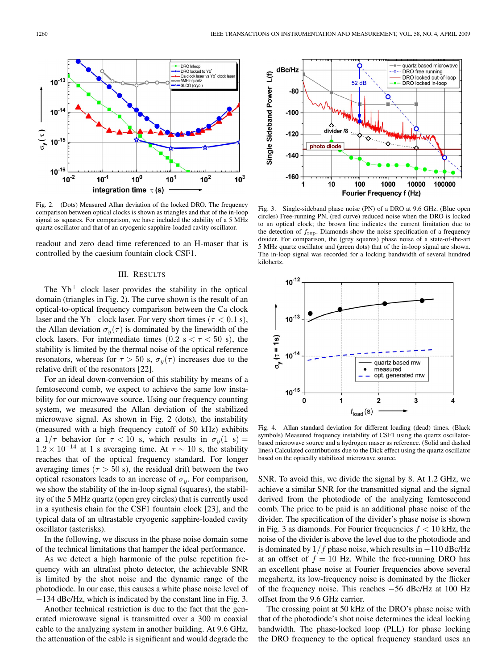

**DRO** Inloop

**Ca clock lass**<br>5MHz quartz

SLCO (cryo.

DRO locked to Yb

Yb<sup>+</sup> clocl

Fig. 2. (Dots) Measured Allan deviation of the locked DRO. The frequency comparison between optical clocks is shown as triangles and that of the in-loop signal as squares. For comparison, we have included the stability of a 5 MHz quartz oscillator and that of an cryogenic sapphire-loaded cavity oscillator.

readout and zero dead time referenced to an H-maser that is controlled by the caesium fountain clock CSF1.

## III. RESULTS

The  $Yb<sup>+</sup>$  clock laser provides the stability in the optical domain (triangles in Fig. 2). The curve shown is the result of an optical-to-optical frequency comparison between the Ca clock laser and the Yb<sup>+</sup> clock laser. For very short times ( $\tau$  < 0.1 s), the Allan deviation  $\sigma_y(\tau)$  is dominated by the linewidth of the clock lasers. For intermediate times  $(0.2 \text{ s} < \tau < 50 \text{ s})$ , the stability is limited by the thermal noise of the optical reference resonators, whereas for  $\tau > 50$  s,  $\sigma_y(\tau)$  increases due to the relative drift of the resonators [22].

For an ideal down-conversion of this stability by means of a femtosecond comb, we expect to achieve the same low instability for our microwave source. Using our frequency counting system, we measured the Allan deviation of the stabilized microwave signal. As shown in Fig. 2 (dots), the instability (measured with a high frequency cutoff of 50 kHz) exhibits a  $1/\tau$  behavior for  $\tau < 10$  s, which results in  $\sigma_y(1 \text{ s}) =$  $1.2 \times 10^{-14}$  at 1 s averaging time. At  $\tau \sim 10$  s, the stability reaches that of the optical frequency standard. For longer averaging times ( $\tau > 50$  s), the residual drift between the two optical resonators leads to an increase of  $\sigma_y$ . For comparison, we show the stability of the in-loop signal (squares), the stability of the 5 MHz quartz (open grey circles) that is currently used in a synthesis chain for the CSF1 fountain clock [23], and the typical data of an ultrastable cryogenic sapphire-loaded cavity oscillator (asterisks).

In the following, we discuss in the phase noise domain some of the technical limitations that hamper the ideal performance.

As we detect a high harmonic of the pulse repetition frequency with an ultrafast photo detector, the achievable SNR is limited by the shot noise and the dynamic range of the photodiode. In our case, this causes a white phase noise level of −134 dBc/Hz, which is indicated by the constant line in Fig. 3.

Another technical restriction is due to the fact that the generated microwave signal is transmitted over a 300 m coaxial cable to the analyzing system in another building. At 9.6 GHz, the attenuation of the cable is significant and would degrade the



Fig. 3. Single-sideband phase noise (PN) of a DRO at 9.6 GHz. (Blue open circles) Free-running PN, (red curve) reduced noise when the DRO is locked to an optical clock; the brown line indicates the current limitation due to the detection of *f*rep. Diamonds show the noise specification of a frequency divider. For comparison, the (grey squares) phase noise of a state-of-the-art 5 MHz quartz oscillator and (green dots) that of the in-loop signal are shown. The in-loop signal was recorded for a locking bandwidth of several hundred kilohertz.



Fig. 4. Allan standard deviation for different loading (dead) times. (Black symbols) Measured frequency instability of CSF1 using the quartz oscillatorbased microwave source and a hydrogen maser as reference. (Solid and dashed lines) Calculated contributions due to the Dick effect using the quartz oscillator based on the optically stabilized microwave source.

SNR. To avoid this, we divide the signal by 8. At 1.2 GHz, we achieve a similar SNR for the transmitted signal and the signal derived from the photodiode of the analyzing femtosecond comb. The price to be paid is an additional phase noise of the divider. The specification of the divider's phase noise is shown in Fig. 3 as diamonds. For Fourier frequencies  $f < 10$  kHz, the noise of the divider is above the level due to the photodiode and is dominated by  $1/f$  phase noise, which results in  $-110$  dBc/Hz at an offset of  $f = 10$  Hz. While the free-running DRO has an excellent phase noise at Fourier frequencies above several megahertz, its low-frequency noise is dominated by the flicker of the frequency noise. This reaches −56 dBc/Hz at 100 Hz offset from the 9.6 GHz carrier.

The crossing point at 50 kHz of the DRO's phase noise with that of the photodiode's shot noise determines the ideal locking bandwidth. The phase-locked loop (PLL) for phase locking the DRO frequency to the optical frequency standard uses an

 $10^{-1}$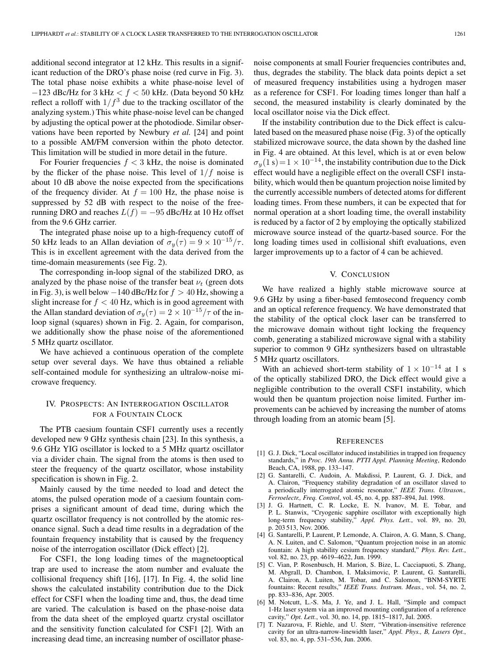additional second integrator at 12 kHz. This results in a significant reduction of the DRO's phase noise (red curve in Fig. 3). The total phase noise exhibits a white phase-noise level of  $-123$  dBc/Hz for 3 kHz  $< f < 50$  kHz. (Data beyond 50 kHz reflect a rolloff with  $1/f<sup>3</sup>$  due to the tracking oscillator of the analyzing system.) This white phase-noise level can be changed by adjusting the optical power at the photodiode. Similar observations have been reported by Newbury *et al.* [24] and point to a possible AM/FM conversion within the photo detector. This limitation will be studied in more detail in the future.

For Fourier frequencies  $f < 3$  kHz, the noise is dominated by the flicker of the phase noise. This level of  $1/f$  noise is about 10 dB above the noise expected from the specifications of the frequency divider. At  $f = 100$  Hz, the phase noise is suppressed by 52 dB with respect to the noise of the freerunning DRO and reaches  $L(f) = -95$  dBc/Hz at 10 Hz offset from the 9.6 GHz carrier.

The integrated phase noise up to a high-frequency cutoff of 50 kHz leads to an Allan deviation of  $\sigma_y(\tau) = 9 \times 10^{-15}/\tau$ . This is in excellent agreement with the data derived from the time-domain measurements (see Fig. 2).

The corresponding in-loop signal of the stabilized DRO, as analyzed by the phase noise of the transfer beat  $\nu_t$  (green dots in Fig. 3), is well below  $-140$  dBc/Hz for  $f > 40$  Hz, showing a slight increase for  $f < 40$  Hz, which is in good agreement with the Allan standard deviation of  $\sigma_y(\tau) = 2 \times 10^{-15}/\tau$  of the inloop signal (squares) shown in Fig. 2. Again, for comparison, we additionally show the phase noise of the aforementioned 5 MHz quartz oscillator.

We have achieved a continuous operation of the complete setup over several days. We have thus obtained a reliable self-contained module for synthesizing an ultralow-noise microwave frequency.

# IV. PROSPECTS: AN INTERROGATION OSCILLATOR FOR A FOUNTAIN CLOCK

The PTB caesium fountain CSF1 currently uses a recently developed new 9 GHz synthesis chain [23]. In this synthesis, a 9.6 GHz YIG oscillator is locked to a 5 MHz quartz oscillator via a divider chain. The signal from the atoms is then used to steer the frequency of the quartz oscillator, whose instability specification is shown in Fig. 2.

Mainly caused by the time needed to load and detect the atoms, the pulsed operation mode of a caesium fountain comprises a significant amount of dead time, during which the quartz oscillator frequency is not controlled by the atomic resonance signal. Such a dead time results in a degradation of the fountain frequency instability that is caused by the frequency noise of the interrogation oscillator (Dick effect) [2].

For CSF1, the long loading times of the magnetooptical trap are used to increase the atom number and evaluate the collisional frequency shift [16], [17]. In Fig. 4, the solid line shows the calculated instability contribution due to the Dick effect for CSF1 when the loading time and, thus, the dead time are varied. The calculation is based on the phase-noise data from the data sheet of the employed quartz crystal oscillator and the sensitivity function calculated for CSF1 [2]. With an increasing dead time, an increasing number of oscillator phase-

noise components at small Fourier frequencies contributes and, thus, degrades the stability. The black data points depict a set of measured frequency instabilities using a hydrogen maser as a reference for CSF1. For loading times longer than half a second, the measured instability is clearly dominated by the local oscillator noise via the Dick effect.

If the instability contribution due to the Dick effect is calculated based on the measured phase noise (Fig. 3) of the optically stabilized microwave source, the data shown by the dashed line in Fig. 4 are obtained. At this level, which is at or even below  $\sigma_y(1 \text{ s})=1 \times 10^{-14}$ , the instability contribution due to the Dick effect would have a negligible effect on the overall CSF1 instability, which would then be quantum projection noise limited by the currently accessible numbers of detected atoms for different loading times. From these numbers, it can be expected that for normal operation at a short loading time, the overall instability is reduced by a factor of 2 by employing the optically stabilized microwave source instead of the quartz-based source. For the long loading times used in collisional shift evaluations, even larger improvements up to a factor of 4 can be achieved.

### V. CONCLUSION

We have realized a highly stable microwave source at 9.6 GHz by using a fiber-based femtosecond frequency comb and an optical reference frequency. We have demonstrated that the stability of the optical clock laser can be transferred to the microwave domain without tight locking the frequency comb, generating a stabilized microwave signal with a stability superior to common 9 GHz synthesizers based on ultrastable 5 MHz quartz oscillators.

With an achieved short-term stability of  $1 \times 10^{-14}$  at 1 s of the optically stabilized DRO, the Dick effect would give a negligible contribution to the overall CSF1 instability, which would then be quantum projection noise limited. Further improvements can be achieved by increasing the number of atoms through loading from an atomic beam [5].

#### **REFERENCES**

- [1] G. J. Dick, "Local oscillator induced instabilities in trapped ion frequency standards," in *Proc. 19th Annu. PTTI Appl. Planning Meeting*, Redondo Beach, CA, 1988, pp. 133–147.
- [2] G. Santarelli, C. Audoin, A. Makdissi, P. Laurent, G. J. Dick, and A. Clairon, "Frequency stability degradation of an oscillator slaved to a periodically interrogated atomic resonator," *IEEE Trans. Ultrason., Ferroelectr., Freq. Control*, vol. 45, no. 4, pp. 887–894, Jul. 1998.
- [3] J. G. Hartnett, C. R. Locke, E. N. Ivanov, M. E. Tobar, and P. L. Stanwix, "Cryogenic sapphire oscillator with exceptionally high long-term frequency stability," *Appl. Phys. Lett.*, vol. 89, no. 20, p. 203 513, Nov. 2006.
- [4] G. Santarelli, P. Laurent, P. Lemonde, A. Clairon, A. G. Mann, S. Chang, A. N. Luiten, and C. Salomon, "Quantum projection noise in an atomic fountain: A high stability cesium frequency standard," *Phys. Rev. Lett.*, vol. 82, no. 23, pp. 4619–4622, Jun. 1999.
- [5] C. Vian, P. Rosenbusch, H. Marion, S. Bize, L. Cacciapuoti, S. Zhang, M. Abgrall, D. Chambon, I. Maksimovic, P. Laurent, G. Santarelli, A. Clairon, A. Luiten, M. Tobar, and C. Salomon, "BNM-SYRTE fountains: Recent results," *IEEE Trans. Instrum. Meas.*, vol. 54, no. 2, pp. 833–836, Apr. 2005.
- [6] M. Notcutt, L.-S. Ma, J. Ye, and J. L. Hall, "Simple and compact 1-Hz laser system via an improved mounting configuration of a reference cavity," *Opt. Lett.*, vol. 30, no. 14, pp. 1815–1817, Jul. 2005.
- [7] T. Nazarova, F. Riehle, and U. Sterr, "Vibration-insensitive reference cavity for an ultra-narrow-linewidth laser," *Appl. Phys., B, Lasers Opt.*, vol. 83, no. 4, pp. 531–536, Jun. 2006.